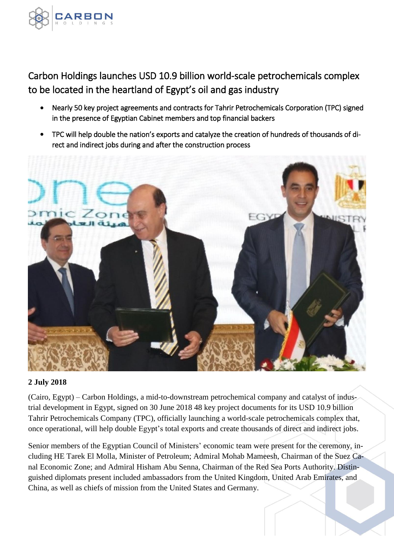

Carbon Holdings launches USD 10.9 billion world-scale petrochemicals complex to be located in the heartland of Egypt's oil and gas industry

- Nearly 50 key project agreements and contracts for Tahrir Petrochemicals Corporation (TPC) signed in the presence of Egyptian Cabinet members and top financial backers
- TPC will help double the nation's exports and catalyze the creation of hundreds of thousands of direct and indirect jobs during and after the construction process



# **2 July 2018**

(Cairo, Egypt) – Carbon Holdings, a mid-to-downstream petrochemical company and catalyst of industrial development in Egypt, signed on 30 June 2018 48 key project documents for its USD 10.9 billion Tahrir Petrochemicals Company (TPC), officially launching a world-scale petrochemicals complex that, once operational, will help double Egypt's total exports and create thousands of direct and indirect jobs.

Senior members of the Egyptian Council of Ministers' economic team were present for the ceremony, including HE Tarek El Molla, Minister of Petroleum; Admiral Mohab Mameesh, Chairman of the Suez Canal Economic Zone; and Admiral Hisham Abu Senna, Chairman of the Red Sea Ports Authority. Distinguished diplomats present included ambassadors from the United Kingdom, United Arab Emirates, and China, as well as chiefs of mission from the United States and Germany.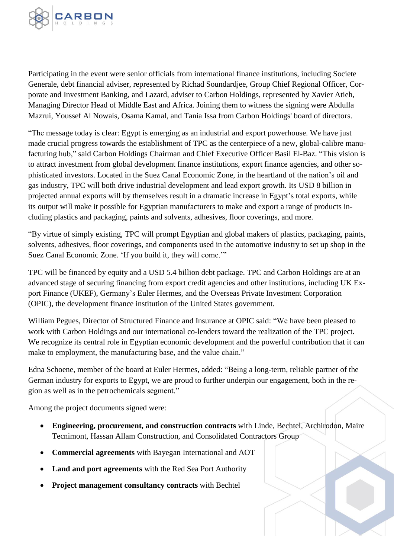

Participating in the event were senior officials from international finance institutions, including Societe Generale, debt financial adviser, represented by Richad Soundardjee, Group Chief Regional Officer, Corporate and Investment Banking, and Lazard, adviser to Carbon Holdings, represented by Xavier Atieh, Managing Director Head of Middle East and Africa. Joining them to witness the signing were Abdulla Mazrui, Youssef Al Nowais, Osama Kamal, and Tania Issa from Carbon Holdings' board of directors.

"The message today is clear: Egypt is emerging as an industrial and export powerhouse. We have just made crucial progress towards the establishment of TPC as the centerpiece of a new, global-calibre manufacturing hub," said Carbon Holdings Chairman and Chief Executive Officer Basil El-Baz. "This vision is to attract investment from global development finance institutions, export finance agencies, and other sophisticated investors. Located in the Suez Canal Economic Zone, in the heartland of the nation's oil and gas industry, TPC will both drive industrial development and lead export growth. Its USD 8 billion in projected annual exports will by themselves result in a dramatic increase in Egypt's total exports, while its output will make it possible for Egyptian manufacturers to make and export a range of products including plastics and packaging, paints and solvents, adhesives, floor coverings, and more.

"By virtue of simply existing, TPC will prompt Egyptian and global makers of plastics, packaging, paints, solvents, adhesives, floor coverings, and components used in the automotive industry to set up shop in the Suez Canal Economic Zone. 'If you build it, they will come.'"

TPC will be financed by equity and a USD 5.4 billion debt package. TPC and Carbon Holdings are at an advanced stage of securing financing from export credit agencies and other institutions, including UK Export Finance (UKEF), Germany's Euler Hermes, and the Overseas Private Investment Corporation (OPIC), the development finance institution of the United States government.

William Pegues, Director of Structured Finance and Insurance at OPIC said: "We have been pleased to work with Carbon Holdings and our international co-lenders toward the realization of the TPC project. We recognize its central role in Egyptian economic development and the powerful contribution that it can make to employment, the manufacturing base, and the value chain."

Edna Schoene, member of the board at Euler Hermes, added: "Being a long-term, reliable partner of the German industry for exports to Egypt, we are proud to further underpin our engagement, both in the region as well as in the petrochemicals segment."

Among the project documents signed were:

- **Engineering, procurement, and construction contracts** with Linde, Bechtel, Archirodon, Maire Tecnimont, Hassan Allam Construction, and Consolidated Contractors Group
- **Commercial agreements** with Bayegan International and AOT
- **Land and port agreements** with the Red Sea Port Authority
- **Project management consultancy contracts** with Bechtel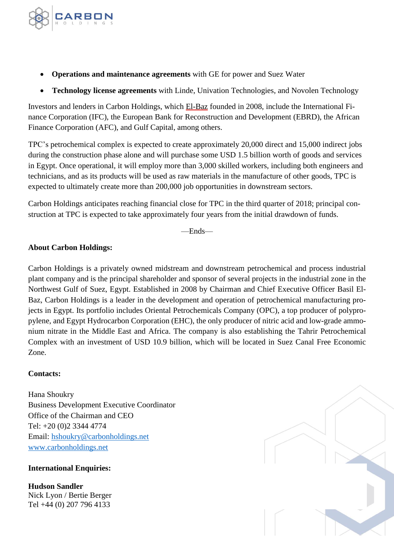

- **Operations and maintenance agreements** with GE for power and Suez Water
- **Technology license agreements** with Linde, Univation Technologies, and Novolen Technology

Investors and lenders in Carbon Holdings, which El-Baz founded in 2008, include the International Finance Corporation (IFC), the European Bank for Reconstruction and Development (EBRD), the African Finance Corporation (AFC), and Gulf Capital, among others.

TPC's petrochemical complex is expected to create approximately 20,000 direct and 15,000 indirect jobs during the construction phase alone and will purchase some USD 1.5 billion worth of goods and services in Egypt. Once operational, it will employ more than 3,000 skilled workers, including both engineers and technicians, and as its products will be used as raw materials in the manufacture of other goods, TPC is expected to ultimately create more than 200,000 job opportunities in downstream sectors.

Carbon Holdings anticipates reaching financial close for TPC in the third quarter of 2018; principal construction at TPC is expected to take approximately four years from the initial drawdown of funds.

—Ends—

# **About Carbon Holdings:**

Carbon Holdings is a privately owned midstream and downstream petrochemical and process industrial plant company and is the principal shareholder and sponsor of several projects in the industrial zone in the Northwest Gulf of Suez, Egypt. Established in 2008 by Chairman and Chief Executive Officer Basil El-Baz, Carbon Holdings is a leader in the development and operation of petrochemical manufacturing projects in Egypt. Its portfolio includes Oriental Petrochemicals Company (OPC), a top producer of polypropylene, and Egypt Hydrocarbon Corporation (EHC), the only producer of nitric acid and low-grade ammonium nitrate in the Middle East and Africa. The company is also establishing the Tahrir Petrochemical Complex with an investment of USD 10.9 billion, which will be located in Suez Canal Free Economic Zone.

# **Contacts:**

Hana Shoukry Business Development Executive Coordinator Office of the Chairman and CEO Tel: +20 (0)2 3344 4774 Email: [hshoukry@carbonholdings.net](mailto:hshoukry@carbonholdings.net) [www.carbonholdings.net](http://www.carbonholdings.net/)

# **International Enquiries:**

**Hudson Sandler** Nick Lyon / Bertie Berger Tel +44 (0) 207 796 4133